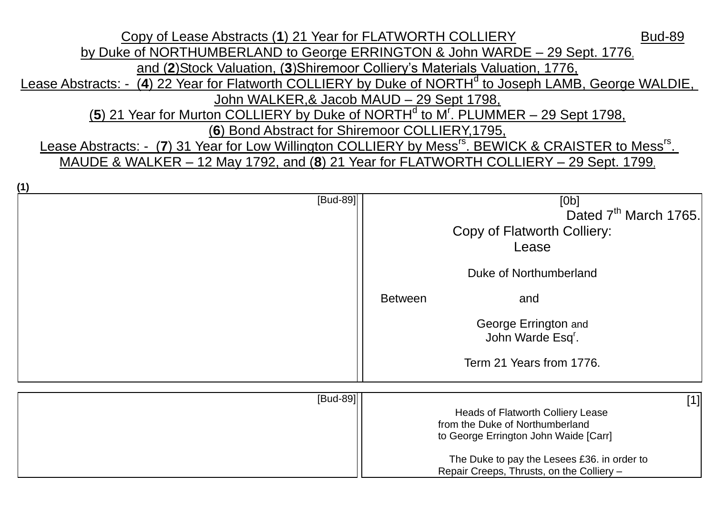Copy of Lease Abstracts (1) 21 Year for FLATWORTH COLLIERY Bud-89 by Duke of NORTHUMBERLAND to George ERRINGTON & John WARDE – 29 Sept. 1776, and (**2**)Stock Valuation, (**3**)Shiremoor Colliery's Materials Valuation, 1776, Lease Abstracts: - (4) 22 Year for Flatworth COLLIERY by Duke of NORTH<sup>d</sup> to Joseph LAMB, George WALDIE, John WALKER,& Jacob MAUD – 29 Sept 1798, (5) 21 Year for Murton COLLIERY by Duke of NORTH<sup>d</sup> to M<sup>r</sup>. PLUMMER – 29 Sept 1798, (**6**) Bond Abstract for Shiremoor COLLIERY,1795, Lease Abstracts: - (7) 31 Year for Low Willington COLLIERY by Mess<sup>rs</sup>. BEWICK & CRAISTER to Mess<sup>rs</sup>. MAUDE & WALKER – 12 May 1792, and (**8**) 21 Year for FLATWORTH COLLIERY – 29 Sept. 1799,

**(1)**

| - 17     |                                                                                                                                                                                                                           |
|----------|---------------------------------------------------------------------------------------------------------------------------------------------------------------------------------------------------------------------------|
| [Bud-89] | [Ob]<br>Dated 7 <sup>th</sup> March 1765.<br>Copy of Flatworth Colliery:<br>Lease<br>Duke of Northumberland<br><b>Between</b><br>and<br>George Errington and<br>John Warde Esq <sup>r</sup> .<br>Term 21 Years from 1776. |
| [Bud-89] | $[1]$<br>Heads of Flatworth Colliery Lease<br>from the Duke of Northumberland<br>to George Errington John Waide [Carr]<br>The Duke to pay the Lesees £36. in order to<br>Repair Creeps, Thrusts, on the Colliery -        |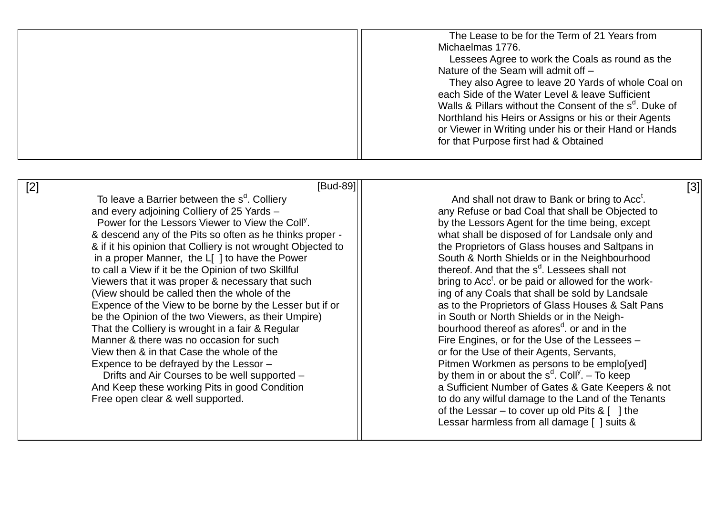| The Lease to be for the Term of 21 Years from                       |
|---------------------------------------------------------------------|
| Michaelmas 1776.                                                    |
| Lessees Agree to work the Coals as round as the                     |
| Nature of the Seam will admit off -                                 |
| They also Agree to leave 20 Yards of whole Coal on                  |
| each Side of the Water Level & leave Sufficient                     |
| Walls & Pillars without the Consent of the s <sup>d</sup> . Duke of |
| Northland his Heirs or Assigns or his or their Agents               |
| or Viewer in Writing under his or their Hand or Hands               |
| for that Purpose first had & Obtained                               |
|                                                                     |
|                                                                     |

| [Bud-89]<br>[2]                                              | [3]                                                             |
|--------------------------------------------------------------|-----------------------------------------------------------------|
| To leave a Barrier between the s <sup>d</sup> . Colliery     | And shall not draw to Bank or bring to Acc <sup>t</sup> .       |
| and every adjoining Colliery of 25 Yards -                   | any Refuse or bad Coal that shall be Objected to                |
| Power for the Lessors Viewer to View the Coll <sup>y</sup> . | by the Lessors Agent for the time being, except                 |
| & descend any of the Pits so often as he thinks proper -     | what shall be disposed of for Landsale only and                 |
| & if it his opinion that Colliery is not wrought Objected to | the Proprietors of Glass houses and Saltpans in                 |
| in a proper Manner, the L[ ] to have the Power               | South & North Shields or in the Neighbourhood                   |
| to call a View if it be the Opinion of two Skillful          | thereof. And that the s <sup>d</sup> . Lessees shall not        |
| Viewers that it was proper & necessary that such             | bring to Acc <sup>t</sup> . or be paid or allowed for the work- |
| (View should be called then the whole of the                 | ing of any Coals that shall be sold by Landsale                 |
| Expence of the View to be borne by the Lesser but if or      | as to the Proprietors of Glass Houses & Salt Pans               |
| be the Opinion of the two Viewers, as their Umpire)          | in South or North Shields or in the Neigh-                      |
| That the Colliery is wrought in a fair & Regular             | bourhood thereof as afores <sup>d</sup> , or and in the         |
| Manner & there was no occasion for such                      | Fire Engines, or for the Use of the Lessees -                   |
| View then & in that Case the whole of the                    | or for the Use of their Agents, Servants,                       |
| Expence to be defrayed by the Lessor -                       | Pitmen Workmen as persons to be emplo[yed]                      |
| Drifts and Air Courses to be well supported -                | by them in or about the $s^d$ . Coll <sup>y</sup> . - To keep   |
| And Keep these working Pits in good Condition                | a Sufficient Number of Gates & Gate Keepers & not               |
| Free open clear & well supported.                            | to do any wilful damage to the Land of the Tenants              |
|                                                              | of the Lessar – to cover up old Pits $\& [ ]$ the               |
|                                                              | Lessar harmless from all damage [ ] suits &                     |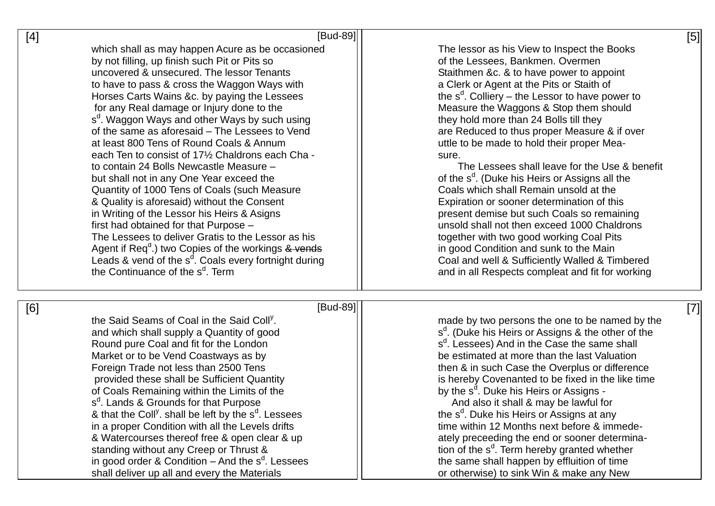| [4] | [Bud-89]                                                                                                                                                                                                                                                                                                                                                                                                                                                                                                                                                                                                                                                                                                                                                                                                                                                                                                                                                                                                                                                 | [5]                                                                                                                                                                                                                                                                                                                                                                                                                                                                                                                                                                                                                                                                                                                                                                                                                                                                                                                       |
|-----|----------------------------------------------------------------------------------------------------------------------------------------------------------------------------------------------------------------------------------------------------------------------------------------------------------------------------------------------------------------------------------------------------------------------------------------------------------------------------------------------------------------------------------------------------------------------------------------------------------------------------------------------------------------------------------------------------------------------------------------------------------------------------------------------------------------------------------------------------------------------------------------------------------------------------------------------------------------------------------------------------------------------------------------------------------|---------------------------------------------------------------------------------------------------------------------------------------------------------------------------------------------------------------------------------------------------------------------------------------------------------------------------------------------------------------------------------------------------------------------------------------------------------------------------------------------------------------------------------------------------------------------------------------------------------------------------------------------------------------------------------------------------------------------------------------------------------------------------------------------------------------------------------------------------------------------------------------------------------------------------|
|     | which shall as may happen Acure as be occasioned<br>by not filling, up finish such Pit or Pits so<br>uncovered & unsecured. The lessor Tenants<br>to have to pass & cross the Waggon Ways with<br>Horses Carts Wains &c. by paying the Lessees<br>for any Real damage or Injury done to the<br>s <sup>d</sup> . Waggon Ways and other Ways by such using<br>of the same as aforesaid - The Lessees to Vend<br>at least 800 Tens of Round Coals & Annum<br>each Ten to consist of 17 <sup>1</sup> / <sub>2</sub> Chaldrons each Cha -<br>to contain 24 Bolls Newcastle Measure -<br>but shall not in any One Year exceed the<br>Quantity of 1000 Tens of Coals (such Measure<br>& Quality is aforesaid) without the Consent<br>in Writing of the Lessor his Heirs & Asigns<br>first had obtained for that Purpose -<br>The Lessees to deliver Gratis to the Lessor as his<br>Agent if $\text{Req}^d$ .) two Copies of the workings $\&$ vends<br>Leads & vend of the $s^d$ . Coals every fortnight during<br>the Continuance of the s <sup>d</sup> . Term | The lessor as his View to Inspect the Books<br>of the Lessees, Bankmen. Overmen<br>Staithmen &c. & to have power to appoint<br>a Clerk or Agent at the Pits or Staith of<br>the $s^d$ . Colliery – the Lessor to have power to<br>Measure the Waggons & Stop them should<br>they hold more than 24 Bolls till they<br>are Reduced to thus proper Measure & if over<br>uttle to be made to hold their proper Mea-<br>sure.<br>The Lessees shall leave for the Use & benefit<br>of the s <sup>d</sup> . (Duke his Heirs or Assigns all the<br>Coals which shall Remain unsold at the<br>Expiration or sooner determination of this<br>present demise but such Coals so remaining<br>unsold shall not then exceed 1000 Chaldrons<br>together with two good working Coal Pits<br>in good Condition and sunk to the Main<br>Coal and well & Sufficiently Walled & Timbered<br>and in all Respects compleat and fit for working |
| [6] | [Bud-89]<br>the Said Seams of Coal in the Said Coll <sup>y</sup> .<br>and which shall supply a Quantity of good<br>Round pure Coal and fit for the London<br>Market or to be Vend Coastways as by<br>Foreign Trade not less than 2500 Tens<br>provided these shall be Sufficient Quantity<br>of Coals Remaining within the Limits of the<br>s <sup>d</sup> . Lands & Grounds for that Purpose<br>& that the Coll <sup>y</sup> . shall be left by the s <sup>d</sup> . Lessees<br>in a proper Condition with all the Levels drifts<br>& Watercourses thereof free & open clear & up<br>standing without any Creep or Thrust &<br>in good order & Condition $-$ And the s <sup>d</sup> . Lessees<br>shall deliver up all and every the Materials                                                                                                                                                                                                                                                                                                           | $[7]$<br>made by two persons the one to be named by the<br>s <sup>d</sup> . (Duke his Heirs or Assigns & the other of the<br>s <sup>d</sup> . Lessees) And in the Case the same shall<br>be estimated at more than the last Valuation<br>then & in such Case the Overplus or difference<br>is hereby Covenanted to be fixed in the like time<br>by the s <sup>d</sup> . Duke his Heirs or Assigns -<br>And also it shall & may be lawful for<br>the s <sup>o</sup> . Duke his Heirs or Assigns at any<br>time within 12 Months next before & immede-<br>ately preceeding the end or sooner determina-<br>tion of the $s^d$ . Term hereby granted whether<br>the same shall happen by effluition of time<br>or otherwise) to sink Win & make any New                                                                                                                                                                       |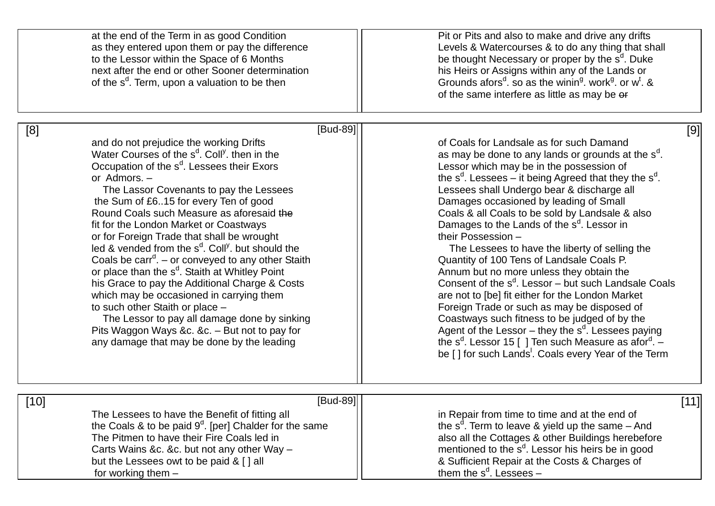|      | at the end of the Term in as good Condition<br>as they entered upon them or pay the difference<br>to the Lessor within the Space of 6 Months<br>next after the end or other Sooner determination<br>of the s <sup>d</sup> . Term, upon a valuation to be then                                                                                                                                                                                                                                                                                                                                                                                                                                                                                                                                                                                                                                                              | Pit or Pits and also to make and drive any drifts<br>Levels & Watercourses & to do any thing that shall<br>be thought Necessary or proper by the s <sup>d</sup> . Duke<br>his Heirs or Assigns within any of the Lands or<br>Grounds afors <sup>d</sup> . so as the winin <sup>9</sup> work <sup>9</sup> or w <sup>t</sup> . &<br>of the same interfere as little as may be or                                                                                                                                                                                                                                                                                                                                                                                                                                                                                                                                                                                                                                                     |
|------|----------------------------------------------------------------------------------------------------------------------------------------------------------------------------------------------------------------------------------------------------------------------------------------------------------------------------------------------------------------------------------------------------------------------------------------------------------------------------------------------------------------------------------------------------------------------------------------------------------------------------------------------------------------------------------------------------------------------------------------------------------------------------------------------------------------------------------------------------------------------------------------------------------------------------|------------------------------------------------------------------------------------------------------------------------------------------------------------------------------------------------------------------------------------------------------------------------------------------------------------------------------------------------------------------------------------------------------------------------------------------------------------------------------------------------------------------------------------------------------------------------------------------------------------------------------------------------------------------------------------------------------------------------------------------------------------------------------------------------------------------------------------------------------------------------------------------------------------------------------------------------------------------------------------------------------------------------------------|
|      |                                                                                                                                                                                                                                                                                                                                                                                                                                                                                                                                                                                                                                                                                                                                                                                                                                                                                                                            |                                                                                                                                                                                                                                                                                                                                                                                                                                                                                                                                                                                                                                                                                                                                                                                                                                                                                                                                                                                                                                    |
| [8]  | [Bud-89]<br>and do not prejudice the working Drifts<br>Water Courses of the s <sup>d</sup> . Coll <sup>y</sup> . then in the<br>Occupation of the s <sup>d</sup> . Lessees their Exors<br>or Admors. -<br>The Lassor Covenants to pay the Lessees<br>the Sum of £615 for every Ten of good<br>Round Coals such Measure as aforesaid the<br>fit for the London Market or Coastways<br>or for Foreign Trade that shall be wrought<br>led & vended from the s <sup>d</sup> . Coll <sup>y</sup> , but should the<br>Coals be $\text{carr}^d$ . – or conveyed to any other Staith<br>or place than the s <sup>d</sup> . Staith at Whitley Point<br>his Grace to pay the Additional Charge & Costs<br>which may be occasioned in carrying them<br>to such other Staith or place -<br>The Lessor to pay all damage done by sinking<br>Pits Waggon Ways &c. &c. - But not to pay for<br>any damage that may be done by the leading | [9]<br>of Coals for Landsale as for such Damand<br>as may be done to any lands or grounds at the s <sup>d</sup> .<br>Lessor which may be in the possession of<br>the $s^d$ . Lessees – it being Agreed that they the $s^d$ .<br>Lessees shall Undergo bear & discharge all<br>Damages occasioned by leading of Small<br>Coals & all Coals to be sold by Landsale & also<br>Damages to the Lands of the s <sup>d</sup> . Lessor in<br>their Possession -<br>The Lessees to have the liberty of selling the<br>Quantity of 100 Tens of Landsale Coals P.<br>Annum but no more unless they obtain the<br>Consent of the $s^d$ . Lessor – but such Landsale Coals<br>are not to [be] fit either for the London Market<br>Foreign Trade or such as may be disposed of<br>Coastways such fitness to be judged of by the<br>Agent of the Lessor $-$ they the $sd$ . Lessees paying<br>the s <sup>d</sup> . Lessor 15 [ ] Ten such Measure as a for <sup>d</sup> . $-$<br>be [] for such Lands <sup>1</sup> . Coals every Year of the Term |
| [10] | $[Bud-89]$<br>The Lessees to have the Benefit of fitting all<br>the Coals & to be paid $9d$ . [per] Chalder for the same<br>The Pitmen to have their Fire Coals led in<br>Carts Wains &c. &c. but not any other Way -<br>but the Lessees owt to be paid & [] all<br>for working them $-$                                                                                                                                                                                                                                                                                                                                                                                                                                                                                                                                                                                                                                   | [11]<br>in Repair from time to time and at the end of<br>the $s^d$ . Term to leave & yield up the same $-$ And<br>also all the Cottages & other Buildings herebefore<br>mentioned to the s <sup>d</sup> . Lessor his heirs be in good<br>& Sufficient Repair at the Costs & Charges of<br>them the $s^d$ . Lessees –                                                                                                                                                                                                                                                                                                                                                                                                                                                                                                                                                                                                                                                                                                               |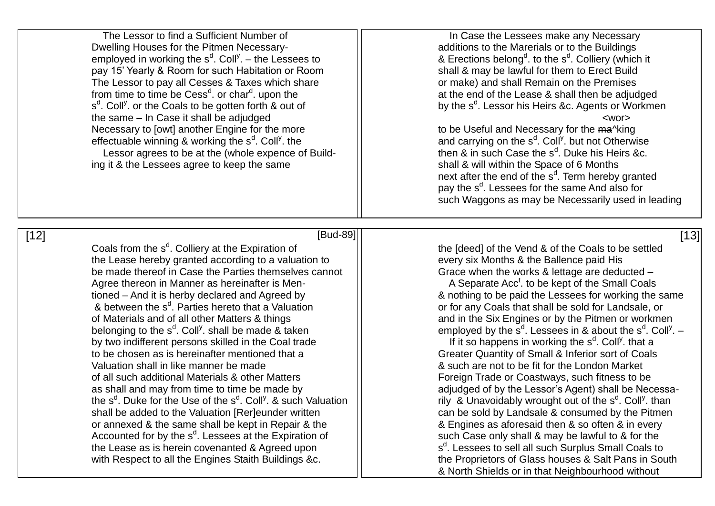The Lessor to find a Sufficient Number of In Case the Lessees make any Necessary Dwelling Houses for the Pitmen Necessary- **All contains to the Marerials or to the Buildings** employed in working the s<sup>d</sup>. Coll<sup>y</sup>. – the Lessees to  $\qquad \qquad \mid \qquad \qquad \qquad \text{8}$  Erections belong<sup>d</sup> pay 15' Yearly & Room for such Habitation or Room shall & may be lawful for them to Erect Build The Lessor to pay all Cesses & Taxes which share  $\vert$   $\vert$  or make) and shall Remain on the Premises from time to time be Cess<sup>d</sup>. or char<sup>d</sup>  ${\sf s}^{\tt d}.$  Coll<sup>y</sup>. or the Coals to be gotten forth & out of  $\hskip1cm \vert \hskip1cm \vert$  by the  ${\sf s}^{\tt d}$ the same – In Case it shall be adjudged  $\vert\vert$ Necessary to [owt] another Engine for the more  $\vert$  to be Useful and Necessary for the ma^king effectuable winning & working the s<sup>d</sup>. Coll<sup>y</sup> Lessor agrees to be at the (whole expence of Build-<br>
g it & the Lessees agree to keep the same<br>  $\begin{array}{ccc}\n & 1 & 1 \\
1 & 1 & 1 \\
1 & 1 & 1\n\end{array}$ <br>  $\begin{array}{ccc}\n & 1 & 1 \\
1 & 1 & 1 \\
1 & 1 & 1\n\end{array}$ <br>
Shall & will within the Space of 6 Months ing it & the Lessees agree to keep the same

. to the  $s<sup>d</sup>$ . Colliery (which it at the end of the Lease & shall then be adjudged by the s<sup>d</sup>. Lessor his Heirs &c. Agents or Workmen

. the  $\vert\vert$  and carrying on the s<sup>d</sup>. Coll<sup>y</sup>. but not Otherwise then  $\&$  in such Case the  $s^d$ . Duke his Heirs &c. next after the end of the s<sup>d</sup>. Term hereby granted pay the s<sup>d</sup>. Lessees for the same And also for such Waggons as may be Necessarily used in leading

[12] [Bud-89] [13]

Coals from the  $s<sup>d</sup>$ . Colliery at the Expiration of the Lease hereby granted according to a valuation to  $\frac{1}{1}$  every six Months & the Ballence paid His be made thereof in Case the Parties themselves cannot  $\Box$  Grace when the works & lettage are deducted – Agree thereon in Manner as hereinafter is Mentioned – And it is herby declared and Agreed by & nothing to be paid the Lessees for working the same & between the  $s<sup>d</sup>$ . Parties hereto that a Valuation of Materials and of all other Matters & things and in the Six Engines or by the Pitmen or workmen belonging to the s<sup>d</sup>. Coll<sup>y</sup>. shall be made & taken  $\vert \vert$  employed by the s<sup>d</sup> by two indifferent persons skilled in the Coal trade to be chosen as is hereinafter mentioned that a set of Coals Greater Quantity of Small & Inferior sort of Coals Valuation shall in like manner be made & such are not to be fit for the London Market of all such additional Materials & other Matters Funchill Foreign Trade or Coastways, such fitness to be as shall and may from time to time be made by  $||$  adjudged of by the Lessor's Agent) shall be Necessathe s<sup>d</sup>. Duke for the Use of the s<sup>d</sup>. Coll<sup>y</sup> shall be added to the Valuation [Rer]eunder written  $\vert \vert$  can be sold by Landsale & consumed by the Pitmen or annexed & the same shall be kept in Repair & the  $\vert$  8 Engines as aforesaid then & so often & in every Accounted for by the  $s<sup>d</sup>$ . Lessees at the Expiration of the Lease as is herein covenanted & Agreed upon with Respect to all the Engines Staith Buildings &c.  $\|$  the Proprietors of Glass houses & Salt Pans in South

the Ideed] of the Vend & of the Coals to be settled

A Separate  $Acc<sup>t</sup>$  to be kept of the Small Coals or for any Coals that shall be sold for Landsale, or . Lessees in & about the  $s^{d}$ . Coll<sup>y</sup>.  $-$ 

. Coll<sup>y</sup>. that a . & such Valuation  $\|$  rily & Unavoidably wrought out of the s<sup>d</sup>. Coll<sup>y</sup>. than such Case only shall & may be lawful to & for the <sup>d</sup>. Lessees to sell all such Surplus Small Coals to & North Shields or in that Neighbourhood without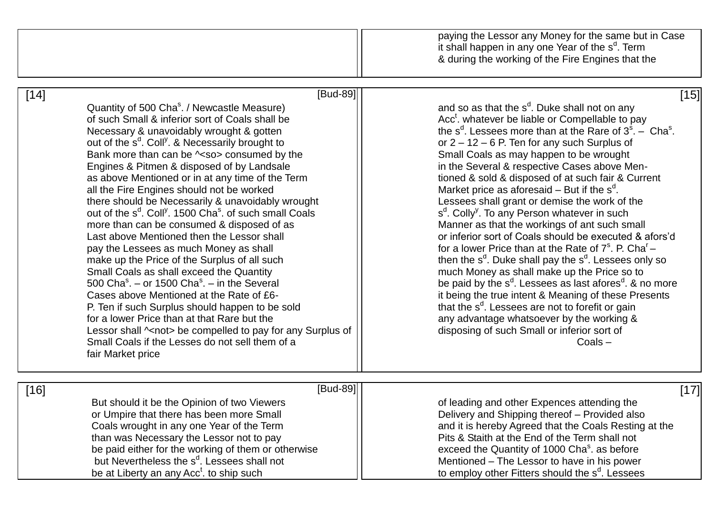|        |                                                                                                                                                                                                                                                                                                                                                                                                                                                                                                                                                                                                                                                                                                                                                                                                                                                                                                                                                                                                                                                                                                                                                                                                      | paying the Lessor any Money for the same but in Case<br>it shall happen in any one Year of the s <sup>d</sup> . Term<br>& during the working of the Fire Engines that the                                                                                                                                                                                                                                                                                                                                                                                                                                                                                                                                                                                                                                                                                                                                                                                                                                                                                                                                                                                                                                               |
|--------|------------------------------------------------------------------------------------------------------------------------------------------------------------------------------------------------------------------------------------------------------------------------------------------------------------------------------------------------------------------------------------------------------------------------------------------------------------------------------------------------------------------------------------------------------------------------------------------------------------------------------------------------------------------------------------------------------------------------------------------------------------------------------------------------------------------------------------------------------------------------------------------------------------------------------------------------------------------------------------------------------------------------------------------------------------------------------------------------------------------------------------------------------------------------------------------------------|-------------------------------------------------------------------------------------------------------------------------------------------------------------------------------------------------------------------------------------------------------------------------------------------------------------------------------------------------------------------------------------------------------------------------------------------------------------------------------------------------------------------------------------------------------------------------------------------------------------------------------------------------------------------------------------------------------------------------------------------------------------------------------------------------------------------------------------------------------------------------------------------------------------------------------------------------------------------------------------------------------------------------------------------------------------------------------------------------------------------------------------------------------------------------------------------------------------------------|
| $[14]$ | [Bud-89]<br>Quantity of 500 Cha <sup>s</sup> . / Newcastle Measure)<br>of such Small & inferior sort of Coals shall be<br>Necessary & unavoidably wrought & gotten<br>out of the s <sup>d</sup> . Coll <sup>y</sup> . & Necessarily brought to<br>Bank more than can be $\sim$ so> consumed by the<br>Engines & Pitmen & disposed of by Landsale<br>as above Mentioned or in at any time of the Term<br>all the Fire Engines should not be worked<br>there should be Necessarily & unavoidably wrought<br>out of the s <sup>d</sup> , Coll <sup>y</sup> , 1500 Cha <sup>s</sup> , of such small Coals<br>more than can be consumed & disposed of as<br>Last above Mentioned then the Lessor shall<br>pay the Lessees as much Money as shall<br>make up the Price of the Surplus of all such<br>Small Coals as shall exceed the Quantity<br>500 Cha <sup>s</sup> . – or 1500 Cha <sup>s</sup> . – in the Several<br>Cases above Mentioned at the Rate of £6-<br>P. Ten if such Surplus should happen to be sold<br>for a lower Price than at that Rare but the<br>Lessor shall ~< not> be compelled to pay for any Surplus of<br>Small Coals if the Lesses do not sell them of a<br>fair Market price | [15]<br>and so as that the s <sup>d</sup> . Duke shall not on any<br>Acc <sup>t</sup> . whatever be liable or Compellable to pay<br>the $s^d$ . Lessees more than at the Rare of $3^s$ . – Cha <sup>s</sup> .<br>or $2 - 12 - 6$ P. Ten for any such Surplus of<br>Small Coals as may happen to be wrought<br>in the Several & respective Cases above Men-<br>tioned & sold & disposed of at such fair & Current<br>Market price as aforesaid $-$ But if the s <sup>d</sup> .<br>Lessees shall grant or demise the work of the<br>s <sup>d</sup> . Colly <sup>y</sup> . To any Person whatever in such<br>Manner as that the workings of ant such small<br>or inferior sort of Coals should be executed & afors'd<br>for a lower Price than at the Rate of $7^{\circ}$ . P. Cha <sup>r</sup> –<br>then the $s^d$ . Duke shall pay the $s^d$ . Lessees only so<br>much Money as shall make up the Price so to<br>be paid by the $s^d$ . Lessees as last afores <sup>d</sup> . & no more<br>it being the true intent & Meaning of these Presents<br>that the s <sup>d</sup> . Lessees are not to forefit or gain<br>any advantage whatsoever by the working &<br>disposing of such Small or inferior sort of<br>$Coals -$ |
| $[16]$ | [Bud-89]<br>But should it be the Opinion of two Viewers<br>or Umpire that there has been more Small<br>Coals wrought in any one Year of the Term<br>than was Necessary the Lessor not to pay<br>be paid either for the working of them or otherwise<br>but Nevertheless the s <sup>d</sup> . Lessees shall not<br>be at Liberty an any Acc <sup>t</sup> . to ship such                                                                                                                                                                                                                                                                                                                                                                                                                                                                                                                                                                                                                                                                                                                                                                                                                               | $[17]$<br>of leading and other Expences attending the<br>Delivery and Shipping thereof - Provided also<br>and it is hereby Agreed that the Coals Resting at the<br>Pits & Staith at the End of the Term shall not<br>exceed the Quantity of 1000 Cha <sup>s</sup> . as before<br>Mentioned – The Lessor to have in his power<br>to employ other Fitters should the s <sup>d</sup> . Lessees                                                                                                                                                                                                                                                                                                                                                                                                                                                                                                                                                                                                                                                                                                                                                                                                                             |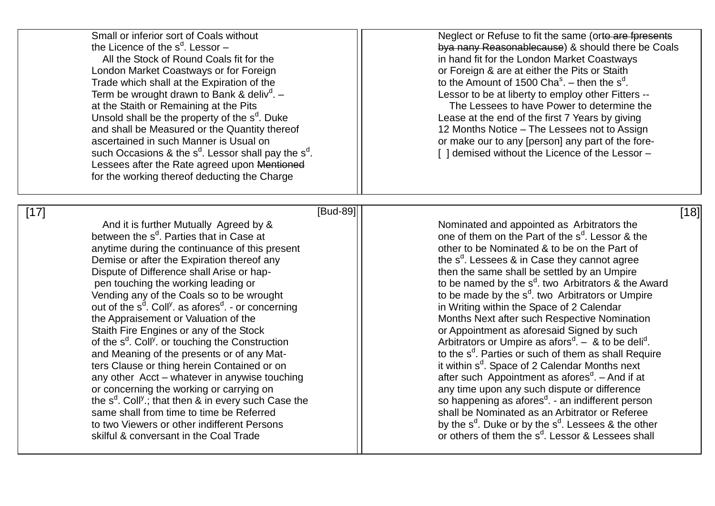| Small or inferior sort of Coals without<br>the Licence of the $s^d$ . Lessor -<br>All the Stock of Round Coals fit for the<br>London Market Coastways or for Foreign<br>Trade which shall at the Expiration of the<br>Term be wrought drawn to Bank & deliv <sup>d</sup> . $-$<br>at the Staith or Remaining at the Pits<br>Unsold shall be the property of the s <sup>d</sup> . Duke<br>and shall be Measured or the Quantity thereof<br>ascertained in such Manner is Usual on<br>such Occasions & the $s^d$ . Lessor shall pay the $s^d$ .<br>Lessees after the Rate agreed upon Mentioned<br>for the working thereof deducting the Charge                                                                                                                                                                                                                                                                                                                                                                          | Neglect or Refuse to fit the same (orto are fpresents<br>by a nany Reasonable cause) & should there be Coals<br>in hand fit for the London Market Coastways<br>or Foreign & are at either the Pits or Staith<br>to the Amount of 1500 $\text{Cha}^s$ . – then the s <sup>d</sup> .<br>Lessor to be at liberty to employ other Fitters --<br>The Lessees to have Power to determine the<br>Lease at the end of the first 7 Years by giving<br>12 Months Notice - The Lessees not to Assign<br>or make our to any [person] any part of the fore-<br>[] demised without the Licence of the Lessor -                                                                                                                                                                                                                                                                                                                                                                                                                                                                                                                    |
|------------------------------------------------------------------------------------------------------------------------------------------------------------------------------------------------------------------------------------------------------------------------------------------------------------------------------------------------------------------------------------------------------------------------------------------------------------------------------------------------------------------------------------------------------------------------------------------------------------------------------------------------------------------------------------------------------------------------------------------------------------------------------------------------------------------------------------------------------------------------------------------------------------------------------------------------------------------------------------------------------------------------|---------------------------------------------------------------------------------------------------------------------------------------------------------------------------------------------------------------------------------------------------------------------------------------------------------------------------------------------------------------------------------------------------------------------------------------------------------------------------------------------------------------------------------------------------------------------------------------------------------------------------------------------------------------------------------------------------------------------------------------------------------------------------------------------------------------------------------------------------------------------------------------------------------------------------------------------------------------------------------------------------------------------------------------------------------------------------------------------------------------------|
| [Bud-89]<br>$[17]$<br>And it is further Mutually Agreed by &<br>between the s <sup>d</sup> . Parties that in Case at<br>anytime during the continuance of this present<br>Demise or after the Expiration thereof any<br>Dispute of Difference shall Arise or hap-<br>pen touching the working leading or<br>Vending any of the Coals so to be wrought<br>out of the s <sup>d</sup> . Coll <sup>y</sup> . as afores <sup>d</sup> . - or concerning<br>the Appraisement or Valuation of the<br>Staith Fire Engines or any of the Stock<br>of the s <sup>d</sup> . Coll <sup>y</sup> . or touching the Construction<br>and Meaning of the presents or of any Mat-<br>ters Clause or thing herein Contained or on<br>any other Acct - whatever in anywise touching<br>or concerning the working or carrying on<br>the $s^d$ . Coll <sup>y</sup> .; that then & in every such Case the<br>same shall from time to time be Referred<br>to two Viewers or other indifferent Persons<br>skilful & conversant in the Coal Trade | [18]<br>Nominated and appointed as Arbitrators the<br>one of them on the Part of the s <sup>d</sup> . Lessor & the<br>other to be Nominated & to be on the Part of<br>the $s^d$ . Lessees & in Case they cannot agree<br>then the same shall be settled by an Umpire<br>to be named by the $s^d$ . two Arbitrators & the Award<br>to be made by the $s^d$ . two Arbitrators or Umpire<br>in Writing within the Space of 2 Calendar<br>Months Next after such Respective Nomination<br>or Appointment as aforesaid Signed by such<br>Arbitrators or Umpire as afors <sup>d</sup> . $-$ & to be deli <sup>d</sup> .<br>to the s <sup>d</sup> . Parties or such of them as shall Require<br>it within s <sup>d</sup> . Space of 2 Calendar Months next<br>after such Appointment as afores <sup>d</sup> . - And if at<br>any time upon any such dispute or difference<br>so happening as afores <sup>d</sup> . - an indifferent person<br>shall be Nominated as an Arbitrator or Referee<br>by the $s^d$ . Duke or by the $s^d$ . Lessees & the other<br>or others of them the s <sup>d</sup> . Lessor & Lessees shall |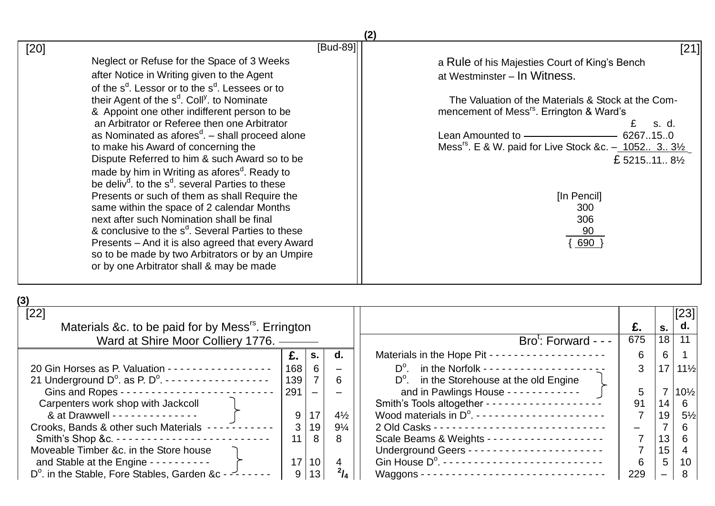| [Bud-89]                                                                                                                                                                                                                                                                                                                                                                                                                                                                                               | [21]                                                                                                                                                                                                                                                                                                                                                |
|--------------------------------------------------------------------------------------------------------------------------------------------------------------------------------------------------------------------------------------------------------------------------------------------------------------------------------------------------------------------------------------------------------------------------------------------------------------------------------------------------------|-----------------------------------------------------------------------------------------------------------------------------------------------------------------------------------------------------------------------------------------------------------------------------------------------------------------------------------------------------|
| [20]<br>Neglect or Refuse for the Space of 3 Weeks<br>after Notice in Writing given to the Agent<br>of the s <sup>d</sup> . Lessor or to the s <sup>d</sup> . Lessees or to<br>their Agent of the s <sup>d</sup> . Coll <sup>y</sup> . to Nominate<br>& Appoint one other indifferent person to be<br>an Arbitrator or Referee then one Arbitrator<br>as Nominated as afores $d -$ shall proceed alone<br>to make his Award of concerning the<br>Dispute Referred to him & such Award so to be         | a Rule of his Majesties Court of King's Bench<br>at Westminster - In Witness.<br>The Valuation of the Materials & Stock at the Com-<br>mencement of Mess <sup>rs</sup> . Errington & Ward's<br>s. d.<br>Lean Amounted to -<br>6267150<br>Mess <sup>rs</sup> . E & W. paid for Live Stock &c. - 1052 3 3 <sup>1/2</sup><br>£ 521511 8 <sup>1/2</sup> |
| made by him in Writing as afores <sup>d</sup> . Ready to<br>be deliv <sup>d</sup> , to the s <sup>d</sup> , several Parties to these<br>Presents or such of them as shall Require the<br>same within the space of 2 calendar Months<br>next after such Nomination shall be final<br>& conclusive to the s <sup>d</sup> . Several Parties to these<br>Presents - And it is also agreed that every Award<br>so to be made by two Arbitrators or by an Umpire<br>or by one Arbitrator shall & may be made | [In Pencil]<br>300<br>306<br>90<br>690                                                                                                                                                                                                                                                                                                              |

| ×<br>۰. |  |
|---------|--|
|---------|--|

| $[22]$                                                                            |     |                          |                |                                                                                                          |     |    | [23]            |
|-----------------------------------------------------------------------------------|-----|--------------------------|----------------|----------------------------------------------------------------------------------------------------------|-----|----|-----------------|
| Materials &c. to be paid for by Mess <sup>rs</sup> . Errington                    |     |                          |                |                                                                                                          | £.  | S. | $\mathsf{d.}$   |
| Ward at Shire Moor Colliery 1776. —                                               |     |                          |                | $Brot: Forward - - -$                                                                                    | 675 | 18 | 11              |
|                                                                                   | £.  | S.                       | d.             | Materials in the Hope Pit -------------------                                                            | 6   | 6  |                 |
| 20 Gin Horses as P. Valuation - - - - - - - - - - - - - - - - -                   | 168 | 6                        |                |                                                                                                          | 3   | 17 | $11\frac{1}{2}$ |
| 21 Underground $D^0$ . as P. $D^0$ . $\cdots$ $\cdots$ $\cdots$ $\cdots$ $\cdots$ | 139 |                          | 6              | $D^{\circ}$ . in the Storehouse at the old Engine                                                        |     |    |                 |
|                                                                                   | 291 | $\overline{\phantom{0}}$ |                | and in Pawlings House - - - - - - - - - - - -                                                            | 5   |    | $10\frac{1}{2}$ |
| Carpenters work shop with Jackcoll                                                |     |                          |                |                                                                                                          | 91  | 14 | 6 <sup>1</sup>  |
| & at Drawwell - - - - - - - - - - - - - -                                         | 9   | 17                       | $4\frac{1}{2}$ | Wood materials in $D^0$ . ----------------------                                                         |     | 19 | $5\frac{1}{2}$  |
| Crooks, Bands & other such Materials -----------                                  | 3   | 19                       | $9\frac{1}{4}$ |                                                                                                          |     |    | $6-1$           |
|                                                                                   | 11  | 8                        | 8              |                                                                                                          |     | 13 | 6 <sup>1</sup>  |
| Moveable Timber &c. in the Store house                                            |     |                          |                |                                                                                                          |     | 15 | $4 \mid$        |
| and Stable at the Engine - - - - - - - - - -                                      | 17  | 10 <sup>1</sup>          | 4              | Gin House $D^{\circ}$ . $\cdots$ $\cdots$ $\cdots$ $\cdots$ $\cdots$ $\cdots$ $\cdots$ $\cdots$ $\cdots$ | 6   | 5  | 10 <sup>°</sup> |
| D <sup>o</sup> . in the Stable, Fore Stables, Garden &c - $\frac{1}{2}$ - - - -   |     | 13 <sub>1</sub>          | $^{2}/_{4}$    |                                                                                                          | 229 |    | 8               |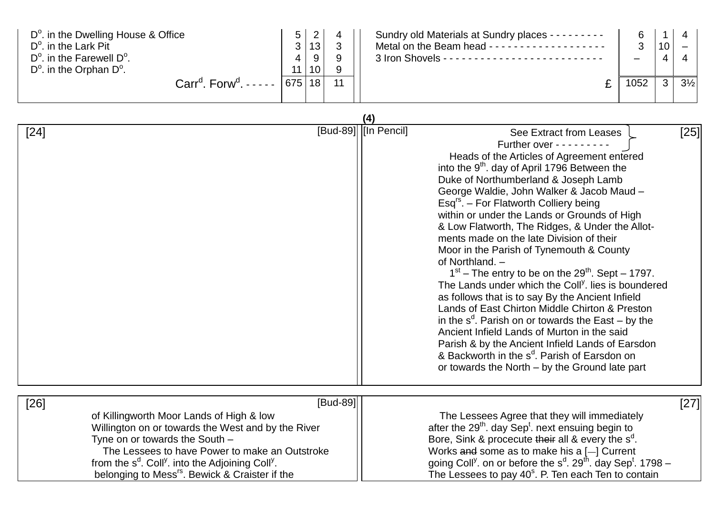| $D^{\circ}$ . in the Dwelling House & Office<br>D <sup>o</sup> , in the Lark Pit<br>$D^{\circ}$ , in the Farewell $D^{\circ}$ .<br>$D^{\circ}$ . in the Orphan $D^{\circ}$ . | 5<br>3<br>4<br>11 | っ<br>13<br>-9<br>10 <sup>1</sup> | ົ | Sundry old Materials at Sundry places - - - - - - - - -<br>Metal on the Beam head ------------------- | 6<br>$\mathbf{r}$<br>J | 10<br>$\mathbf{u}$ |                |
|------------------------------------------------------------------------------------------------------------------------------------------------------------------------------|-------------------|----------------------------------|---|-------------------------------------------------------------------------------------------------------|------------------------|--------------------|----------------|
| $Carrd$ . Forw <sup>d</sup> . - - - - -                                                                                                                                      | 675               | 18                               |   |                                                                                                       | 1052                   |                    | $3\frac{1}{2}$ |

|        |                                                                                                                                                                                                                                                                                                                                                      | (4)                  |                                                                                                                                                                                                                                                                                                                                                                                                                                                                                                                                                                                                                                                                                                                                                                                                                                                                                                                                                                                                                                                 |      |
|--------|------------------------------------------------------------------------------------------------------------------------------------------------------------------------------------------------------------------------------------------------------------------------------------------------------------------------------------------------------|----------------------|-------------------------------------------------------------------------------------------------------------------------------------------------------------------------------------------------------------------------------------------------------------------------------------------------------------------------------------------------------------------------------------------------------------------------------------------------------------------------------------------------------------------------------------------------------------------------------------------------------------------------------------------------------------------------------------------------------------------------------------------------------------------------------------------------------------------------------------------------------------------------------------------------------------------------------------------------------------------------------------------------------------------------------------------------|------|
| $[24]$ |                                                                                                                                                                                                                                                                                                                                                      | [Bud-89] [In Pencil] | See Extract from Leases<br>Further over $- - - - - - -$<br>Heads of the Articles of Agreement entered<br>into the 9 <sup>th</sup> . day of April 1796 Between the<br>Duke of Northumberland & Joseph Lamb<br>George Waldie, John Walker & Jacob Maud -<br>Esq <sup>rs</sup> . - For Flatworth Colliery being<br>within or under the Lands or Grounds of High<br>& Low Flatworth, The Ridges, & Under the Allot-<br>ments made on the late Division of their<br>Moor in the Parish of Tynemouth & County<br>of Northland. -<br>$1st$ – The entry to be on the 29 <sup>th</sup> . Sept – 1797.<br>The Lands under which the Coll <sup>y</sup> . lies is boundered<br>as follows that is to say By the Ancient Infield<br>Lands of East Chirton Middle Chirton & Preston<br>in the $s^d$ . Parish on or towards the East – by the<br>Ancient Infield Lands of Murton in the said<br>Parish & by the Ancient Infield Lands of Earsdon<br>& Backworth in the s <sup>d</sup> . Parish of Earsdon on<br>or towards the North – by the Ground late part | [25] |
| $[26]$ | [Bud-89]<br>of Killingworth Moor Lands of High & low<br>Willington on or towards the West and by the River<br>Tyne on or towards the South -<br>The Lessees to have Power to make an Outstroke<br>from the s <sup>d</sup> . Coll <sup>y</sup> . into the Adjoining Coll <sup>y</sup> .<br>belonging to Mess <sup>rs</sup> . Bewick & Craister if the |                      | The Lessees Agree that they will immediately<br>after the 29 <sup>th</sup> . day Sep <sup>t</sup> . next ensuing begin to<br>Bore, Sink & procecute their all & every the $s^d$ .<br>Works and some as to make his a $[-]$ Current<br>going Coll <sup>y</sup> . on or before the $s^d$ . 29 <sup>th</sup> . day Sep <sup>t</sup> . 1798 –<br>The Lessees to pay 40 <sup>°</sup> . P. Ten each Ten to contain                                                                                                                                                                                                                                                                                                                                                                                                                                                                                                                                                                                                                                    | [27] |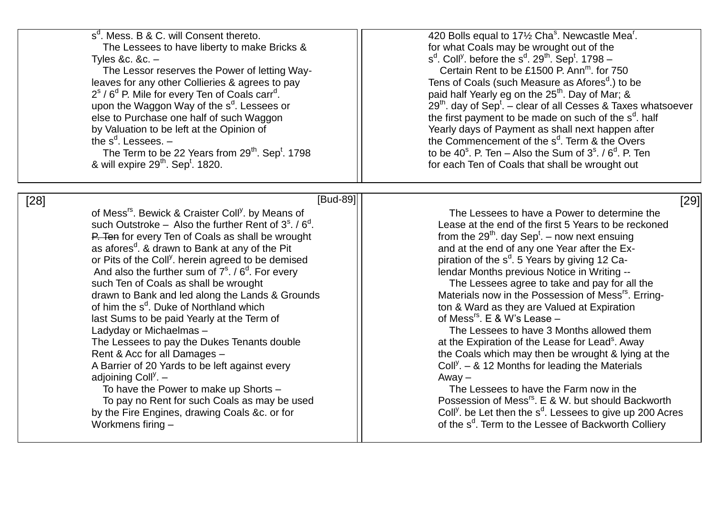| s <sup>d</sup> . Mess. B & C. will Consent thereto.<br>The Lessees to have liberty to make Bricks &<br>Tyles &c. &c. $-$<br>The Lessor reserves the Power of letting Way-<br>leaves for any other Collieries & agrees to pay<br>$2s$ / 6 <sup>d</sup> P. Mile for every Ten of Coals carr <sup>d</sup> .<br>upon the Waggon Way of the s <sup>d</sup> . Lessees or<br>else to Purchase one half of such Waggon<br>by Valuation to be left at the Opinion of<br>the $s^d$ . Lessees. $-$<br>The Term to be 22 Years from $29^{th}$ . Sep <sup>t</sup> . 1798<br>& will expire 29 <sup>th</sup> . Sep <sup>t</sup> . 1820.                                                                                                                                                                                                                                                                                                                                                                  | 420 Bolls equal to 171/2 Cha <sup>s</sup> . Newcastle Mea <sup>r</sup> .<br>for what Coals may be wrought out of the<br>$s^{d}$ . Coll <sup>y</sup> . before the $s^{d}$ . 29 <sup>th</sup> . Sep <sup>t</sup> . 1798 -<br>Certain Rent to be £1500 P. Ann <sup>m</sup> , for 750<br>Tens of Coals (such Measure as Afores <sup>d</sup> .) to be<br>paid half Yearly eg on the 25 <sup>th</sup> . Day of Mar; &<br>$29th$ . day of Sep <sup>t</sup> . – clear of all Cesses & Taxes whatsoever<br>the first payment to be made on such of the s <sup>d</sup> . half<br>Yearly days of Payment as shall next happen after<br>the Commencement of the s <sup>d</sup> . Term & the Overs<br>to be $40^{\circ}$ . P. Ten – Also the Sum of $3^{\circ}$ . / $6^{\circ}$ . P. Ten<br>for each Ten of Coals that shall be wrought out                                                                                                                                                                                                                                                |
|-------------------------------------------------------------------------------------------------------------------------------------------------------------------------------------------------------------------------------------------------------------------------------------------------------------------------------------------------------------------------------------------------------------------------------------------------------------------------------------------------------------------------------------------------------------------------------------------------------------------------------------------------------------------------------------------------------------------------------------------------------------------------------------------------------------------------------------------------------------------------------------------------------------------------------------------------------------------------------------------|-------------------------------------------------------------------------------------------------------------------------------------------------------------------------------------------------------------------------------------------------------------------------------------------------------------------------------------------------------------------------------------------------------------------------------------------------------------------------------------------------------------------------------------------------------------------------------------------------------------------------------------------------------------------------------------------------------------------------------------------------------------------------------------------------------------------------------------------------------------------------------------------------------------------------------------------------------------------------------------------------------------------------------------------------------------------------------|
|                                                                                                                                                                                                                                                                                                                                                                                                                                                                                                                                                                                                                                                                                                                                                                                                                                                                                                                                                                                           |                                                                                                                                                                                                                                                                                                                                                                                                                                                                                                                                                                                                                                                                                                                                                                                                                                                                                                                                                                                                                                                                               |
| [Bud-89]<br>$[28]$<br>of Mess <sup>rs</sup> . Bewick & Craister Coll <sup>y</sup> . by Means of<br>such Outstroke – Also the further Rent of $3s$ . / $6d$ .<br>P. Ten for every Ten of Coals as shall be wrought<br>as afores <sup>d</sup> . & drawn to Bank at any of the Pit<br>or Pits of the Coll <sup>y</sup> . herein agreed to be demised<br>And also the further sum of $7^{\circ}$ . / $6^{\circ}$ . For every<br>such Ten of Coals as shall be wrought<br>drawn to Bank and led along the Lands & Grounds<br>of him the s <sup>d</sup> . Duke of Northland which<br>last Sums to be paid Yearly at the Term of<br>Ladyday or Michaelmas -<br>The Lessees to pay the Dukes Tenants double<br>Rent & Acc for all Damages -<br>A Barrier of 20 Yards to be left against every<br>adjoining Coll <sup>y</sup> . $-$<br>To have the Power to make up Shorts -<br>To pay no Rent for such Coals as may be used<br>by the Fire Engines, drawing Coals &c. or for<br>Workmens firing - | [29]<br>The Lessees to have a Power to determine the<br>Lease at the end of the first 5 Years to be reckoned<br>from the $29th$ . day Sep <sup>t</sup> . – now next ensuing<br>and at the end of any one Year after the Ex-<br>piration of the s <sup>d</sup> . 5 Years by giving 12 Ca-<br>lendar Months previous Notice in Writing --<br>The Lessees agree to take and pay for all the<br>Materials now in the Possession of Mess <sup>rs</sup> . Erring-<br>ton & Ward as they are Valued at Expiration<br>of Mess <sup>rs</sup> . E & W's Lease -<br>The Lessees to have 3 Months allowed them<br>at the Expiration of the Lease for Lead <sup>s</sup> . Away<br>the Coals which may then be wrought & lying at the<br>Coll <sup>y</sup> . $-$ & 12 Months for leading the Materials<br>$A$ way $-$<br>The Lessees to have the Farm now in the<br>Possession of Mess <sup>rs</sup> . E & W. but should Backworth<br>Coll <sup>y</sup> . be Let then the s <sup>d</sup> . Lessees to give up 200 Acres<br>of the s <sup>d</sup> . Term to the Lessee of Backworth Colliery |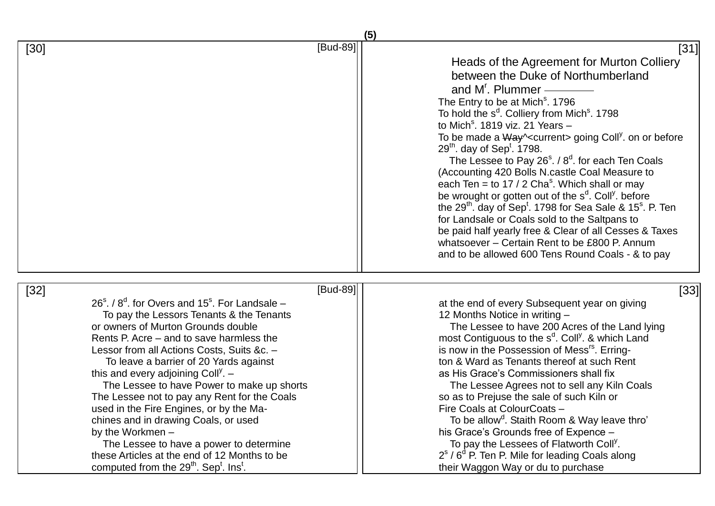|                                                                                                                                                                                                                                                                                                                                                                                                                                                                                                                                                                                                                                                                                                                                   |          | (5)                                                                                                                                                                                                                                                                                                                                                                                                                                                                                                                                                                                                                                                                                                                                                                                                                                                                                                                                                                                                  |
|-----------------------------------------------------------------------------------------------------------------------------------------------------------------------------------------------------------------------------------------------------------------------------------------------------------------------------------------------------------------------------------------------------------------------------------------------------------------------------------------------------------------------------------------------------------------------------------------------------------------------------------------------------------------------------------------------------------------------------------|----------|------------------------------------------------------------------------------------------------------------------------------------------------------------------------------------------------------------------------------------------------------------------------------------------------------------------------------------------------------------------------------------------------------------------------------------------------------------------------------------------------------------------------------------------------------------------------------------------------------------------------------------------------------------------------------------------------------------------------------------------------------------------------------------------------------------------------------------------------------------------------------------------------------------------------------------------------------------------------------------------------------|
| $[30]$                                                                                                                                                                                                                                                                                                                                                                                                                                                                                                                                                                                                                                                                                                                            | [Bud-89] | [31]<br>Heads of the Agreement for Murton Colliery<br>between the Duke of Northumberland<br>and $M^r$ . Plummer —<br>The Entry to be at Mich <sup>s</sup> . 1796<br>To hold the s <sup>d</sup> . Colliery from Mich <sup>s</sup> . 1798<br>to Mich <sup>s</sup> . 1819 viz. 21 Years $-$<br>To be made a Way \< current > going Coll <sup>y</sup> . on or before<br>$29th$ . day of Sep <sup>t</sup> . 1798.<br>The Lessee to Pay $26^{\circ}$ . / $8^{\circ}$ . for each Ten Coals<br>(Accounting 420 Bolls N.castle Coal Measure to<br>each Ten = to 17 / 2 Cha <sup>s</sup> . Which shall or may<br>be wrought or gotten out of the s <sup>d</sup> . Coll <sup>y</sup> . before<br>the 29 <sup>th</sup> . day of Sep <sup>t</sup> . 1798 for Sea Sale & 15 <sup>s</sup> . P. Ten<br>for Landsale or Coals sold to the Saltpans to<br>be paid half yearly free & Clear of all Cesses & Taxes<br>whatsoever - Certain Rent to be £800 P. Annum<br>and to be allowed 600 Tens Round Coals - & to pay |
| $[32]$<br>$26s$ . / $8d$ . for Overs and 15 <sup>s</sup> . For Landsale –<br>To pay the Lessors Tenants & the Tenants<br>or owners of Murton Grounds double<br>Rents P. Acre – and to save harmless the<br>Lessor from all Actions Costs, Suits &c. -<br>To leave a barrier of 20 Yards against<br>this and every adjoining Coll <sup>y</sup> . $-$<br>The Lessee to have Power to make up shorts<br>The Lessee not to pay any Rent for the Coals<br>used in the Fire Engines, or by the Ma-<br>chines and in drawing Coals, or used<br>by the Workmen -<br>The Lessee to have a power to determine<br>these Articles at the end of 12 Months to be<br>computed from the 29 <sup>th</sup> . Sep <sup>t</sup> . Ins <sup>t</sup> . | [Bud-89] | [33]<br>at the end of every Subsequent year on giving<br>12 Months Notice in writing -<br>The Lessee to have 200 Acres of the Land lying<br>most Contiguous to the s <sup>d</sup> . Coll <sup>y</sup> . & which Land<br>is now in the Possession of Mess <sup>rs</sup> . Erring-<br>ton & Ward as Tenants thereof at such Rent<br>as His Grace's Commissioners shall fix<br>The Lessee Agrees not to sell any Kiln Coals<br>so as to Prejuse the sale of such Kiln or<br>Fire Coals at ColourCoats -<br>To be allow <sup>d</sup> . Staith Room & Way leave thro'<br>his Grace's Grounds free of Expence -<br>To pay the Lessees of Flatworth Coll <sup>y</sup> .<br>$2s$ / 6 <sup>d</sup> P. Ten P. Mile for leading Coals along<br>their Waggon Way or du to purchase                                                                                                                                                                                                                               |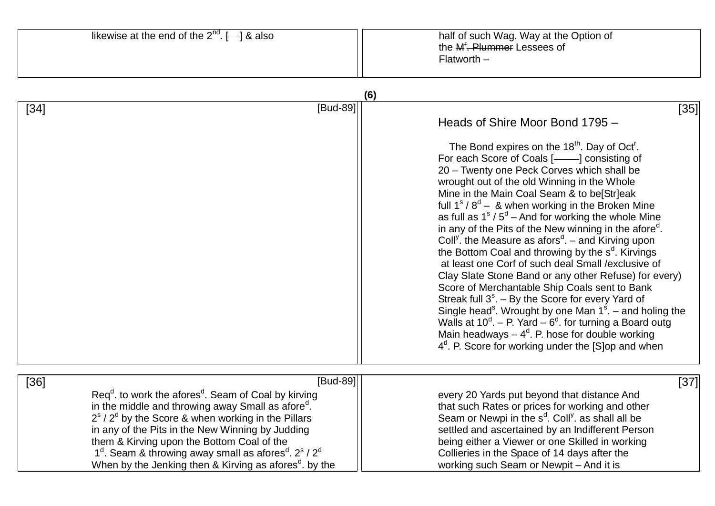|        | likewise at the end of the $2^{nd}$ . $[-]$ & also                                                                                                                                                                                                                                                                                                                                                                                                           | half of such Wag. Way at the Option of<br>the M <sup><i>E</i></sup> . Plummer Lessees of<br>$Flatworth -$                                                                                                                                                                                                                                                                                                                                                                                                                                                                                                                                                                                                                                                                                                                                                                                                                                                                                                                                                                                                               |
|--------|--------------------------------------------------------------------------------------------------------------------------------------------------------------------------------------------------------------------------------------------------------------------------------------------------------------------------------------------------------------------------------------------------------------------------------------------------------------|-------------------------------------------------------------------------------------------------------------------------------------------------------------------------------------------------------------------------------------------------------------------------------------------------------------------------------------------------------------------------------------------------------------------------------------------------------------------------------------------------------------------------------------------------------------------------------------------------------------------------------------------------------------------------------------------------------------------------------------------------------------------------------------------------------------------------------------------------------------------------------------------------------------------------------------------------------------------------------------------------------------------------------------------------------------------------------------------------------------------------|
|        |                                                                                                                                                                                                                                                                                                                                                                                                                                                              | (6)                                                                                                                                                                                                                                                                                                                                                                                                                                                                                                                                                                                                                                                                                                                                                                                                                                                                                                                                                                                                                                                                                                                     |
| $[34]$ | $[Bud-89]$                                                                                                                                                                                                                                                                                                                                                                                                                                                   | $[35]$<br>Heads of Shire Moor Bond 1795 -<br>The Bond expires on the 18 <sup>th</sup> . Day of Oct <sup>r</sup> .<br>For each Score of Coals [-1000] consisting of<br>20 - Twenty one Peck Corves which shall be<br>wrought out of the old Winning in the Whole<br>Mine in the Main Coal Seam & to be[Str]eak<br>full $1s / 8d - 8$ when working in the Broken Mine<br>as full as $1s / 5d - And$ for working the whole Mine<br>in any of the Pits of the New winning in the afore <sup>d</sup> .<br>Coll <sup>y</sup> . the Measure as afors <sup>d</sup> . – and Kirving upon<br>the Bottom Coal and throwing by the $s^d$ . Kirvings<br>at least one Corf of such deal Small / exclusive of<br>Clay Slate Stone Band or any other Refuse) for every)<br>Score of Merchantable Ship Coals sent to Bank<br>Streak full $3s$ . - By the Score for every Yard of<br>Single head <sup>s</sup> . Wrought by one Man $1s$ . – and holing the<br>Walls at $10^d$ . – P. Yard – $6^d$ . for turning a Board outg<br>Main headways $-4^d$ . P. hose for double working<br>$4d$ . P. Score for working under the [S]op and when |
| $[36]$ | [Bud-89]                                                                                                                                                                                                                                                                                                                                                                                                                                                     | [37]                                                                                                                                                                                                                                                                                                                                                                                                                                                                                                                                                                                                                                                                                                                                                                                                                                                                                                                                                                                                                                                                                                                    |
|        | $\text{Req}^d$ to work the afores <sup>d</sup> . Seam of Coal by kirving<br>in the middle and throwing away Small as afore".<br>$2s$ / $2d$ by the Score & when working in the Pillars<br>in any of the Pits in the New Winning by Judding<br>them & Kirving upon the Bottom Coal of the<br>$1d$ . Seam & throwing away small as afores <sup>d</sup> . 2 <sup>s</sup> / 2 <sup>d</sup><br>When by the Jenking then & Kirving as afores <sup>d</sup> . by the | every 20 Yards put beyond that distance And<br>that such Rates or prices for working and other<br>Seam or Newpi in the s <sup>d</sup> . Coll <sup>y</sup> . as shall all be<br>settled and ascertained by an Indifferent Person<br>being either a Viewer or one Skilled in working<br>Collieries in the Space of 14 days after the<br>working such Seam or Newpit - And it is                                                                                                                                                                                                                                                                                                                                                                                                                                                                                                                                                                                                                                                                                                                                           |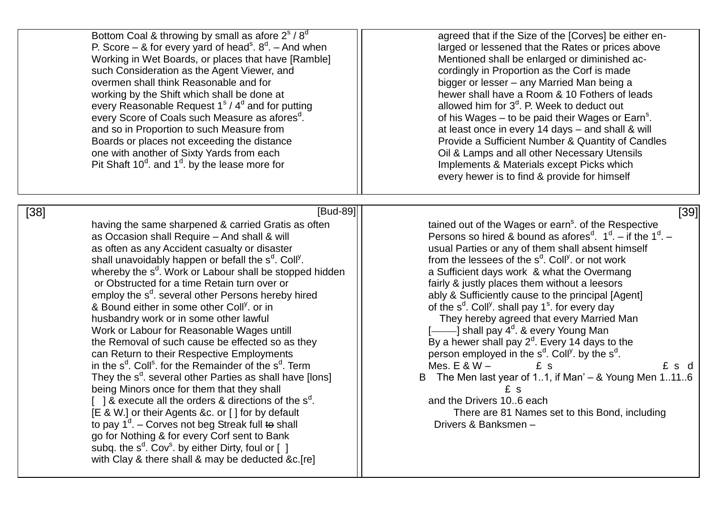| Bottom Coal & throwing by small as afore 2 <sup>s</sup> / 8 <sup>d</sup><br>P. Score – & for every yard of head <sup>s</sup> . $8^d$ . – And when<br>Working in Wet Boards, or places that have [Ramble]<br>such Consideration as the Agent Viewer, and<br>overmen shall think Reasonable and for<br>working by the Shift which shall be done at<br>every Reasonable Request $1s / 4d$ and for putting<br>every Score of Coals such Measure as afores <sup>d</sup> .<br>and so in Proportion to such Measure from<br>Boards or places not exceeding the distance<br>one with another of Sixty Yards from each<br>Pit Shaft $10^d$ . and $1^d$ . by the lease more for                                                                                                                                                                                                                                                                                                                                                                                                                                                                                                                                                                                                          | agreed that if the Size of the [Corves] be either en-<br>larged or lessened that the Rates or prices above<br>Mentioned shall be enlarged or diminished ac-<br>cordingly in Proportion as the Corf is made<br>bigger or lesser - any Married Man being a<br>hewer shall have a Room & 10 Fothers of leads<br>allowed him for $3d$ . P. Week to deduct out<br>of his Wages – to be paid their Wages or Earn <sup>s</sup> .<br>at least once in every 14 days – and shall & will<br>Provide a Sufficient Number & Quantity of Candles<br>Oil & Lamps and all other Necessary Utensils<br>Implements & Materials except Picks which<br>every hewer is to find & provide for himself                                                                                                                                                                                                                                                                         |
|--------------------------------------------------------------------------------------------------------------------------------------------------------------------------------------------------------------------------------------------------------------------------------------------------------------------------------------------------------------------------------------------------------------------------------------------------------------------------------------------------------------------------------------------------------------------------------------------------------------------------------------------------------------------------------------------------------------------------------------------------------------------------------------------------------------------------------------------------------------------------------------------------------------------------------------------------------------------------------------------------------------------------------------------------------------------------------------------------------------------------------------------------------------------------------------------------------------------------------------------------------------------------------|----------------------------------------------------------------------------------------------------------------------------------------------------------------------------------------------------------------------------------------------------------------------------------------------------------------------------------------------------------------------------------------------------------------------------------------------------------------------------------------------------------------------------------------------------------------------------------------------------------------------------------------------------------------------------------------------------------------------------------------------------------------------------------------------------------------------------------------------------------------------------------------------------------------------------------------------------------|
| [Bud-89]<br>$[38]$<br>having the same sharpened & carried Gratis as often<br>as Occasion shall Require - And shall & will<br>as often as any Accident casualty or disaster<br>shall unavoidably happen or befall the s <sup>d</sup> . Coll <sup>y</sup> .<br>whereby the s <sup>d</sup> . Work or Labour shall be stopped hidden<br>or Obstructed for a time Retain turn over or<br>employ the s <sup>d</sup> . several other Persons hereby hired<br>& Bound either in some other Coll <sup>y</sup> , or in<br>husbandry work or in some other lawful<br>Work or Labour for Reasonable Wages untill<br>the Removal of such cause be effected so as they<br>can Return to their Respective Employments<br>in the s <sup>d</sup> . Coll <sup>s</sup> . for the Remainder of the s <sup>d</sup> . Term<br>They the s <sup>d</sup> . several other Parties as shall have [lons]<br>being Minors once for them that they shall<br>[ ] & execute all the orders & directions of the $s^d$ .<br>[E & W.] or their Agents &c. or [] for by default<br>to pay $1d$ . – Corves not beg Streak full to shall<br>go for Nothing & for every Corf sent to Bank<br>subq. the $s^d$ . Cov <sup>s</sup> . by either Dirty, foul or $[$ 1<br>with Clay & there shall & may be deducted &c.[re] | [39]<br>tained out of the Wages or earn <sup>s</sup> . of the Respective<br>Persons so hired & bound as afores <sup>d</sup> . $1d$ – if the $1d$ –<br>usual Parties or any of them shall absent himself<br>from the lessees of the s <sup>d</sup> . Coll <sup>y</sup> or not work<br>a Sufficient days work & what the Overmang<br>fairly & justly places them without a leesors<br>ably & Sufficiently cause to the principal [Agent]<br>of the $s^d$ . Coll <sup>y</sup> . shall pay $1^s$ . for every day<br>They hereby agreed that every Married Man<br>[-iolding] shall pay 4 <sup>d</sup> . & every Young Man<br>By a hewer shall pay $2d$ . Every 14 days to the<br>person employed in the $s^d$ . Coll <sup>y</sup> . by the $s^d$ .<br>Mes. $E & W -$<br>£ s d<br>£s<br>The Men last year of 11, if Man' $-$ & Young Men 1116<br>B<br>£ s<br>and the Drivers 106 each<br>There are 81 Names set to this Bond, including<br>Drivers & Banksmen- |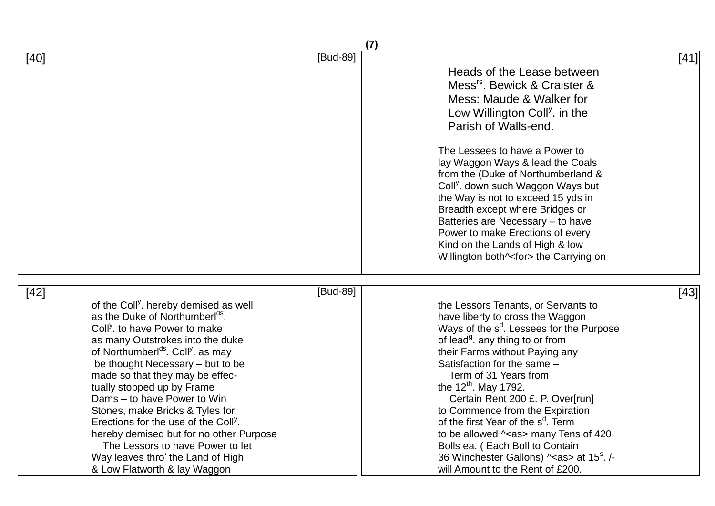|                                                                                                                                                                                                                                                                                                                                                                                                                                                                                                                                                                                                                                                  | (7)                                                                                                                                                                                                                                                                                                                                                                                                                                                                                                                                                                                                                            |
|--------------------------------------------------------------------------------------------------------------------------------------------------------------------------------------------------------------------------------------------------------------------------------------------------------------------------------------------------------------------------------------------------------------------------------------------------------------------------------------------------------------------------------------------------------------------------------------------------------------------------------------------------|--------------------------------------------------------------------------------------------------------------------------------------------------------------------------------------------------------------------------------------------------------------------------------------------------------------------------------------------------------------------------------------------------------------------------------------------------------------------------------------------------------------------------------------------------------------------------------------------------------------------------------|
| [Bud-89]<br>$[40]$                                                                                                                                                                                                                                                                                                                                                                                                                                                                                                                                                                                                                               | $[41]$<br>Heads of the Lease between<br>Mess <sup>rs</sup> . Bewick & Craister &<br>Mess: Maude & Walker for<br>Low Willington Coll <sup>y</sup> . in the<br>Parish of Walls-end.<br>The Lessees to have a Power to<br>lay Waggon Ways & lead the Coals<br>from the (Duke of Northumberland &<br>Coll <sup>y</sup> . down such Waggon Ways but<br>the Way is not to exceed 15 yds in<br>Breadth except where Bridges or<br>Batteries are Necessary - to have<br>Power to make Erections of every<br>Kind on the Lands of High & low<br>Willington both^ <for> the Carrying on</for>                                            |
| [Bud-89]<br>$[42]$<br>of the Coll <sup>y</sup> . hereby demised as well<br>as the Duke of Northumberl <sup>ds</sup> .<br>Coll <sup>y</sup> . to have Power to make<br>as many Outstrokes into the duke<br>of Northumberl <sup>ds</sup> . Coll <sup>y</sup> as may<br>be thought Necessary - but to be<br>made so that they may be effec-<br>tually stopped up by Frame<br>Dams – to have Power to Win<br>Stones, make Bricks & Tyles for<br>Erections for the use of the Coll <sup>y</sup> .<br>hereby demised but for no other Purpose<br>The Lessors to have Power to let<br>Way leaves thro' the Land of High<br>& Low Flatworth & lay Waggon | [43]<br>the Lessors Tenants, or Servants to<br>have liberty to cross the Waggon<br>Ways of the s <sup>d</sup> . Lessees for the Purpose<br>of lead <sup>g</sup> , any thing to or from<br>their Farms without Paying any<br>Satisfaction for the same -<br>Term of 31 Years from<br>the 12 <sup>th</sup> . May 1792.<br>Certain Rent 200 £. P. Over[run]<br>to Commence from the Expiration<br>of the first Year of the s <sup>d</sup> . Term<br>to be allowed $\sim$ as> many Tens of 420<br>Bolls ea. (Each Boll to Contain<br>36 Winchester Gallons) ^ <as> at 15<sup>s</sup>. /-<br/>will Amount to the Rent of £200.</as> |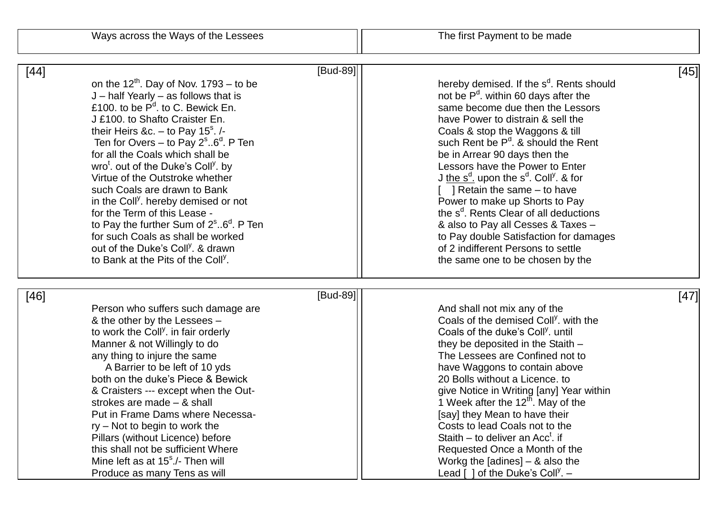| $[45]$<br>hereby demised. If the s <sup>d</sup> . Rents should<br>not be P <sup>d</sup> . within 60 days after the<br>same become due then the Lessors<br>have Power to distrain & sell the                                                                                                                                                                                                                                                                                                                                                                                                                               |
|---------------------------------------------------------------------------------------------------------------------------------------------------------------------------------------------------------------------------------------------------------------------------------------------------------------------------------------------------------------------------------------------------------------------------------------------------------------------------------------------------------------------------------------------------------------------------------------------------------------------------|
| Coals & stop the Waggons & till<br>such Rent be $P^d$ . & should the Rent<br>be in Arrear 90 days then the<br>Lessors have the Power to Enter<br>J the $s^d$ . upon the $s^d$ . Coll <sup>y</sup> . & for<br>$\lceil$   Retain the same – to have<br>Power to make up Shorts to Pay<br>the s <sup>d</sup> . Rents Clear of all deductions<br>& also to Pay all Cesses & Taxes -<br>to Pay double Satisfaction for damages<br>of 2 indifferent Persons to settle<br>the same one to be chosen by the                                                                                                                       |
| [47]<br>And shall not mix any of the<br>Coals of the demised Coll <sup>y</sup> . with the<br>Coals of the duke's Coll <sup>y</sup> . until<br>they be deposited in the Staith -<br>The Lessees are Confined not to<br>have Waggons to contain above<br>20 Bolls without a Licence. to<br>give Notice in Writing [any] Year within<br>1 Week after the $12^{\text{th}}$ . May of the<br>[say] they Mean to have their<br>Costs to lead Coals not to the<br>Staith – to deliver an $Acct$ . if<br>Requested Once a Month of the<br>Workg the [adines] $-$ & also the<br>Lead $\lceil$ ] of the Duke's Coll <sup>y</sup> . - |
|                                                                                                                                                                                                                                                                                                                                                                                                                                                                                                                                                                                                                           |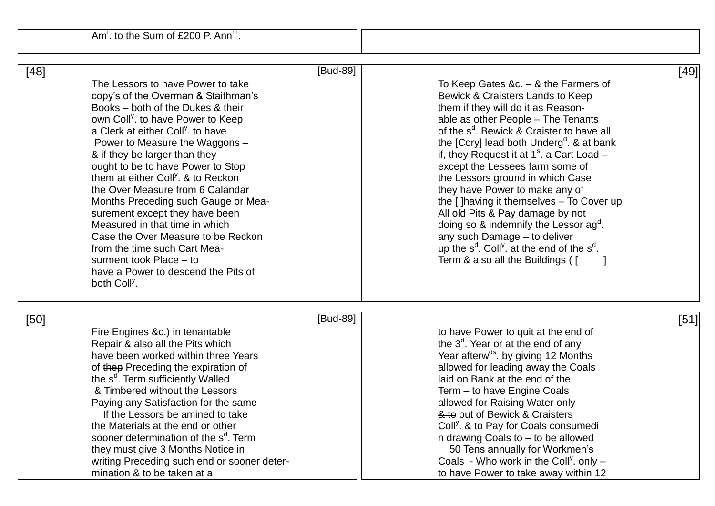Am<sup>t</sup>. to the Sum of £200 P. Ann<sup>m</sup>.

| [Bud-89]<br>$[48]$<br>The Lessors to have Power to take<br>copy's of the Overman & Staithman's<br>Books - both of the Dukes & their<br>own Coll <sup>y</sup> , to have Power to Keep<br>a Clerk at either Coll <sup>y</sup> . to have<br>Power to Measure the Waggons -<br>& if they be larger than they<br>ought to be to have Power to Stop<br>them at either Coll <sup>y</sup> . & to Reckon<br>the Over Measure from 6 Calandar<br>Months Preceding such Gauge or Mea-<br>surement except they have been<br>Measured in that time in which<br>Case the Over Measure to be Reckon<br>from the time such Cart Mea-<br>surment took Place - to<br>have a Power to descend the Pits of<br>both Coll <sup>y</sup> . | $[49]$<br>To Keep Gates &c. $-$ & the Farmers of<br>Bewick & Craisters Lands to Keep<br>them if they will do it as Reason-<br>able as other People - The Tenants<br>of the s <sup>d</sup> . Bewick & Craister to have all<br>the [Cory] lead both Underg <sup>d</sup> . & at bank<br>if, they Request it at $1s$ . a Cart Load –<br>except the Lessees farm some of<br>the Lessors ground in which Case<br>they have Power to make any of<br>the [] having it themselves - To Cover up<br>All old Pits & Pay damage by not<br>doing so $\&$ indemnify the Lessor $ag^{\alpha}$ .<br>any such Damage - to deliver<br>up the $s^d$ . Coll <sup>y</sup> . at the end of the $s^d$ .<br>Term & also all the Buildings ( [ |
|--------------------------------------------------------------------------------------------------------------------------------------------------------------------------------------------------------------------------------------------------------------------------------------------------------------------------------------------------------------------------------------------------------------------------------------------------------------------------------------------------------------------------------------------------------------------------------------------------------------------------------------------------------------------------------------------------------------------|-----------------------------------------------------------------------------------------------------------------------------------------------------------------------------------------------------------------------------------------------------------------------------------------------------------------------------------------------------------------------------------------------------------------------------------------------------------------------------------------------------------------------------------------------------------------------------------------------------------------------------------------------------------------------------------------------------------------------|
| [Bud-89]<br>$[50]$<br>Fire Engines &c.) in tenantable<br>Repair & also all the Pits which<br>have been worked within three Years<br>of thep Preceding the expiration of<br>the s <sup>d</sup> . Term sufficiently Walled<br>& Timbered without the Lessors<br>Paying any Satisfaction for the same<br>If the Lessors be amined to take<br>the Materials at the end or other<br>sooner determination of the s <sup>d</sup> . Term<br>they must give 3 Months Notice in<br>writing Preceding such end or sooner deter-<br>mination & to be taken at a                                                                                                                                                                | $[51]$<br>to have Power to quit at the end of<br>the $3d$ . Year or at the end of any<br>Year afterw <sup>ds</sup> . by giving 12 Months<br>allowed for leading away the Coals<br>laid on Bank at the end of the<br>Term - to have Engine Coals<br>allowed for Raising Water only<br>& to out of Bewick & Craisters<br>Coll <sup>y</sup> . & to Pay for Coals consumedi<br>n drawing Coals to - to be allowed<br>50 Tens annually for Workmen's<br>Coals - Who work in the Coll <sup>y</sup> . only $-$<br>to have Power to take away within 12                                                                                                                                                                       |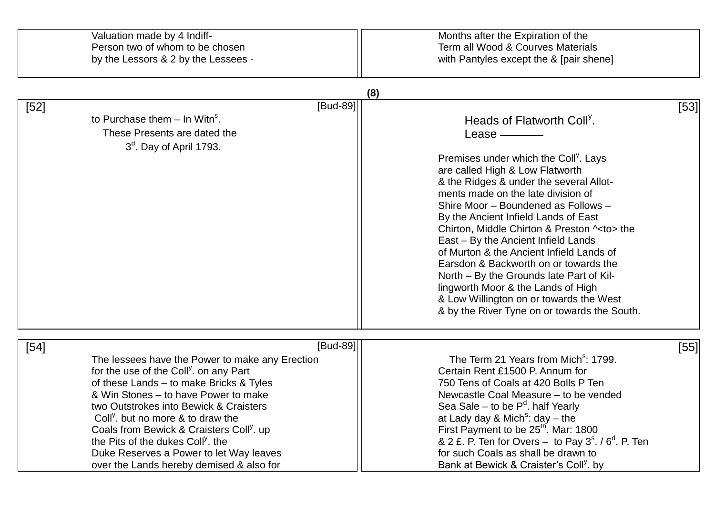| Valuation made by 4 Indiff-<br>Person two of whom to be chosen<br>by the Lessors & 2 by the Lessees -                                                                                                                                                                                                                                                                                                                                                                                                     | Months after the Expiration of the<br>Term all Wood & Courves Materials<br>with Pantyles except the & [pair shene]                                                                                                                                                                                                                                                                                                                                                                                                                                                                                                                                                                                                         |
|-----------------------------------------------------------------------------------------------------------------------------------------------------------------------------------------------------------------------------------------------------------------------------------------------------------------------------------------------------------------------------------------------------------------------------------------------------------------------------------------------------------|----------------------------------------------------------------------------------------------------------------------------------------------------------------------------------------------------------------------------------------------------------------------------------------------------------------------------------------------------------------------------------------------------------------------------------------------------------------------------------------------------------------------------------------------------------------------------------------------------------------------------------------------------------------------------------------------------------------------------|
|                                                                                                                                                                                                                                                                                                                                                                                                                                                                                                           | (8)                                                                                                                                                                                                                                                                                                                                                                                                                                                                                                                                                                                                                                                                                                                        |
| [Bud-89]<br>$[52]$<br>to Purchase them $-$ In Witn <sup>s</sup> .<br>These Presents are dated the<br>$3a$ . Day of April 1793.                                                                                                                                                                                                                                                                                                                                                                            | [53]<br>Heads of Flatworth Coll <sup>y</sup> .<br>Lease $\_\_\_\_\_\_\_\$<br>Premises under which the Coll <sup>y</sup> . Lays<br>are called High & Low Flatworth<br>& the Ridges & under the several Allot-<br>ments made on the late division of<br>Shire Moor - Boundened as Follows -<br>By the Ancient Infield Lands of East<br>Chirton, Middle Chirton & Preston ^ <to> the<br/>East – By the Ancient Infield Lands<br/>of Murton &amp; the Ancient Infield Lands of<br/>Earsdon &amp; Backworth on or towards the<br/>North – By the Grounds late Part of Kil-<br/>lingworth Moor &amp; the Lands of High<br/>&amp; Low Willington on or towards the West<br/>&amp; by the River Tyne on or towards the South.</to> |
| [Bud-89]<br>$[54]$<br>The lessees have the Power to make any Erection<br>for the use of the Coll <sup>y</sup> . on any Part<br>of these Lands - to make Bricks & Tyles<br>& Win Stones – to have Power to make<br>two Outstrokes into Bewick & Craisters<br>Coll <sup>y</sup> , but no more & to draw the<br>Coals from Bewick & Craisters Coll <sup>y</sup> . up<br>the Pits of the dukes Coll <sup>y</sup> . the<br>Duke Reserves a Power to let Way leaves<br>over the Lands hereby demised & also for | [55]<br>The Term 21 Years from Mich <sup>s</sup> : 1799.<br>Certain Rent £1500 P. Annum for<br>750 Tens of Coals at 420 Bolls P Ten<br>Newcastle Coal Measure - to be vended<br>Sea Sale – to be $P^d$ . half Yearly<br>at Lady day & Mich <sup>s</sup> : day $-$ the<br>First Payment to be 25 <sup>th</sup> . Mar: 1800<br>& 2 £. P. Ten for Overs – to Pay $3s$ . / $6d$ . P. Ten<br>for such Coals as shall be drawn to<br>Bank at Bewick & Craister's Coll <sup>y</sup> . by                                                                                                                                                                                                                                          |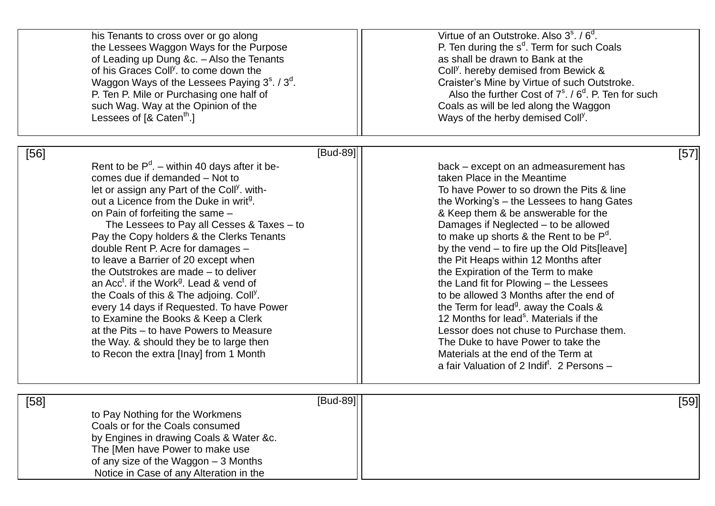|                                                                                                                                                                                                                                                                                                                                                                                                                                                                                                                                                                                                                                                                                                                                                                                                                                                | his Tenants to cross over or go along<br>the Lessees Waggon Ways for the Purpose<br>of Leading up Dung &c. - Also the Tenants<br>of his Graces Coll <sup>y</sup> . to come down the<br>Waggon Ways of the Lessees Paying 3 <sup>8</sup> . / 3 <sup>d</sup> .<br>P. Ten P. Mile or Purchasing one half of<br>such Wag. Way at the Opinion of the<br>Lessees of $[8 \text{ Caten}^{\text{th}}]$ | Virtue of an Outstroke. Also $3s$ . $\sqrt{6d}$ .<br>P. Ten during the s <sup>d</sup> . Term for such Coals<br>as shall be drawn to Bank at the<br>Coll <sup>y</sup> . hereby demised from Bewick &<br>Craister's Mine by Virtue of such Outstroke.<br>Also the further Cost of $7^{\circ}$ , / $6^{\circ}$ , P. Ten for such<br>Coals as will be led along the Waggon<br>Ways of the herby demised Coll <sup>y</sup> .                                                                                                                                                                                                                                                                                                                                                                                               |
|------------------------------------------------------------------------------------------------------------------------------------------------------------------------------------------------------------------------------------------------------------------------------------------------------------------------------------------------------------------------------------------------------------------------------------------------------------------------------------------------------------------------------------------------------------------------------------------------------------------------------------------------------------------------------------------------------------------------------------------------------------------------------------------------------------------------------------------------|-----------------------------------------------------------------------------------------------------------------------------------------------------------------------------------------------------------------------------------------------------------------------------------------------------------------------------------------------------------------------------------------------|-----------------------------------------------------------------------------------------------------------------------------------------------------------------------------------------------------------------------------------------------------------------------------------------------------------------------------------------------------------------------------------------------------------------------------------------------------------------------------------------------------------------------------------------------------------------------------------------------------------------------------------------------------------------------------------------------------------------------------------------------------------------------------------------------------------------------|
| $[Bud-89]$<br>$[56]$<br>Rent to be $P^d$ . – within 40 days after it be-<br>comes due if demanded - Not to<br>let or assign any Part of the Coll <sup>y</sup> . with-<br>out a Licence from the Duke in writ <sup>9</sup> .<br>on Pain of forfeiting the same -<br>The Lessees to Pay all Cesses $& \text{Taxes} - \text{to}$<br>Pay the Copy holders & the Clerks Tenants<br>double Rent P. Acre for damages -<br>to leave a Barrier of 20 except when<br>the Outstrokes are made - to deliver<br>an Acc <sup>t</sup> . if the Work <sup>g</sup> . Lead & vend of<br>the Coals of this & The adjoing. Coll <sup>y</sup> .<br>every 14 days if Requested. To have Power<br>to Examine the Books & Keep a Clerk<br>at the Pits – to have Powers to Measure<br>the Way. & should they be to large then<br>to Recon the extra [Inay] from 1 Month |                                                                                                                                                                                                                                                                                                                                                                                               | $[57]$<br>back - except on an admeasurement has<br>taken Place in the Meantime<br>To have Power to so drown the Pits & line<br>the Working's – the Lessees to hang Gates<br>& Keep them & be answerable for the<br>Damages if Neglected - to be allowed<br>to make up shorts & the Rent to be $P^d$ .<br>by the vend - to fire up the Old Pits[leave]<br>the Pit Heaps within 12 Months after<br>the Expiration of the Term to make<br>the Land fit for Plowing - the Lessees<br>to be allowed 3 Months after the end of<br>the Term for lead <sup>9</sup> . away the Coals &<br>12 Months for lead <sup>s</sup> . Materials if the<br>Lessor does not chuse to Purchase them.<br>The Duke to have Power to take the<br>Materials at the end of the Term at<br>a fair Valuation of 2 Indif <sup>t</sup> . 2 Persons - |
| [58]                                                                                                                                                                                                                                                                                                                                                                                                                                                                                                                                                                                                                                                                                                                                                                                                                                           | [Bud-89]<br>to Pay Nothing for the Workmens<br>Coals or for the Coals consumed<br>by Engines in drawing Coals & Water &c.<br>The [Men have Power to make use<br>of any size of the Waggon - 3 Months<br>Notice in Case of any Alteration in the                                                                                                                                               | [59]                                                                                                                                                                                                                                                                                                                                                                                                                                                                                                                                                                                                                                                                                                                                                                                                                  |